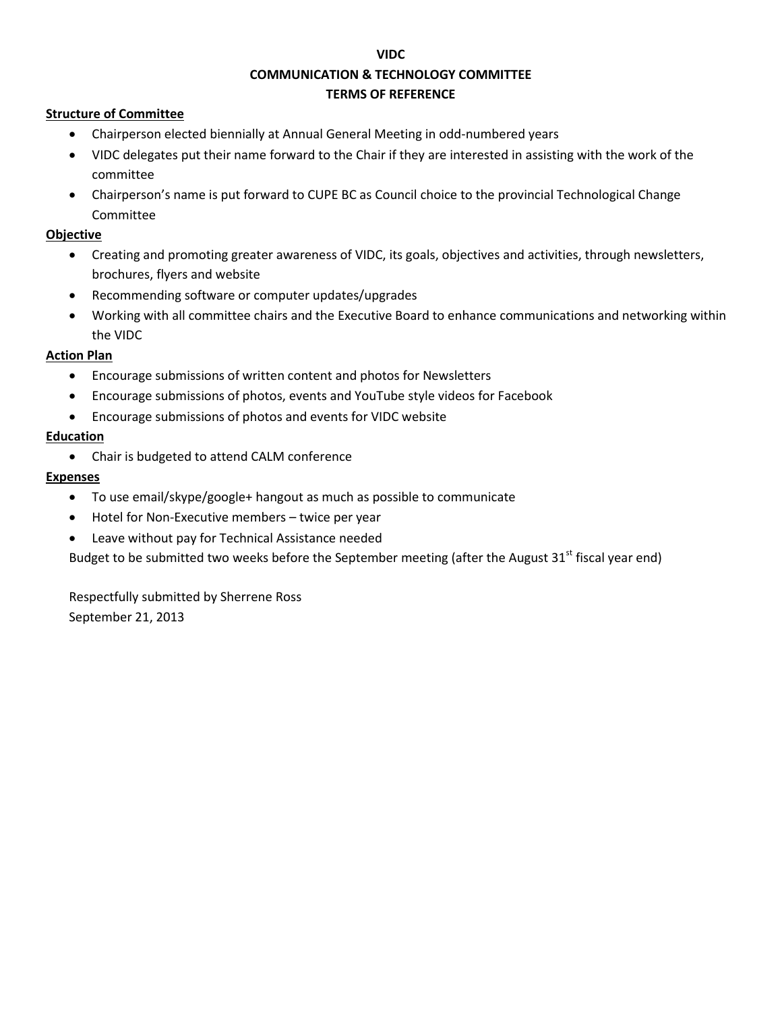#### **VIDC**

# **COMMUNICATION & TECHNOLOGY COMMITTEE**

### **TERMS OF REFERENCE**

## **Structure of Committee**

- Chairperson elected biennially at Annual General Meeting in odd-numbered years
- VIDC delegates put their name forward to the Chair if they are interested in assisting with the work of the committee
- Chairperson's name is put forward to CUPE BC as Council choice to the provincial Technological Change Committee

## **Objective**

- Creating and promoting greater awareness of VIDC, its goals, objectives and activities, through newsletters, brochures, flyers and website
- Recommending software or computer updates/upgrades
- Working with all committee chairs and the Executive Board to enhance communications and networking within the VIDC

## **Action Plan**

- Encourage submissions of written content and photos for Newsletters
- Encourage submissions of photos, events and YouTube style videos for Facebook
- Encourage submissions of photos and events for VIDC website

## **Education**

Chair is budgeted to attend CALM conference

## **Expenses**

- To use email/skype/google+ hangout as much as possible to communicate
- Hotel for Non-Executive members twice per year
- Leave without pay for Technical Assistance needed

Budget to be submitted two weeks before the September meeting (after the August 31<sup>st</sup> fiscal year end)

Respectfully submitted by Sherrene Ross September 21, 2013